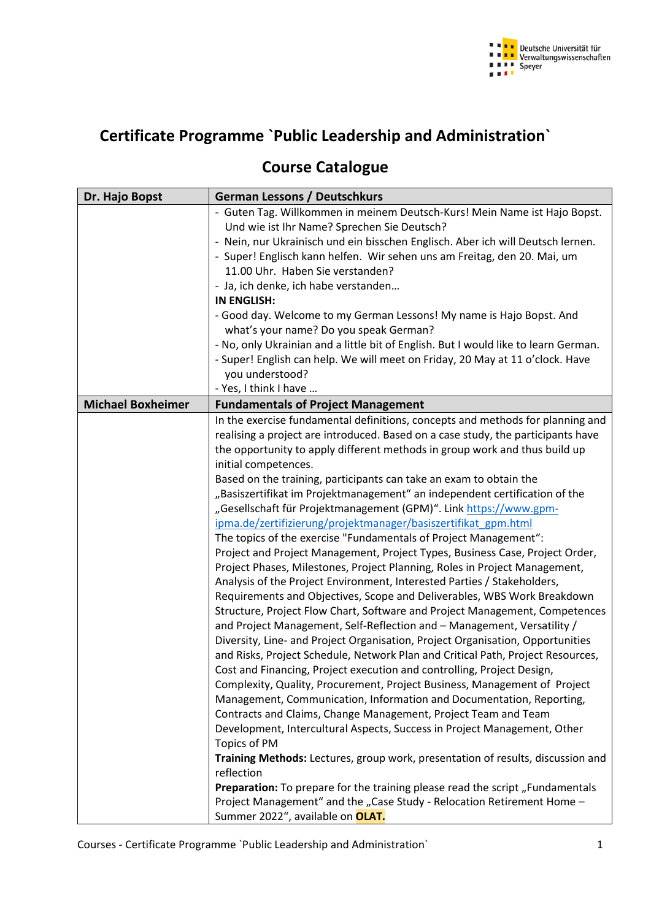

## **Certificate Programme `Public Leadership and Administration`**

## **Course Catalogue**

| Dr. Hajo Bopst           | <b>German Lessons / Deutschkurs</b>                                                 |
|--------------------------|-------------------------------------------------------------------------------------|
|                          | - Guten Tag. Willkommen in meinem Deutsch-Kurs! Mein Name ist Hajo Bopst.           |
|                          | Und wie ist Ihr Name? Sprechen Sie Deutsch?                                         |
|                          | - Nein, nur Ukrainisch und ein bisschen Englisch. Aber ich will Deutsch lernen.     |
|                          | - Super! Englisch kann helfen. Wir sehen uns am Freitag, den 20. Mai, um            |
|                          | 11.00 Uhr. Haben Sie verstanden?                                                    |
|                          | - Ja, ich denke, ich habe verstanden                                                |
|                          | <b>IN ENGLISH:</b>                                                                  |
|                          | - Good day. Welcome to my German Lessons! My name is Hajo Bopst. And                |
|                          | what's your name? Do you speak German?                                              |
|                          | - No, only Ukrainian and a little bit of English. But I would like to learn German. |
|                          | - Super! English can help. We will meet on Friday, 20 May at 11 o'clock. Have       |
|                          | you understood?                                                                     |
|                          | - Yes, I think I have                                                               |
| <b>Michael Boxheimer</b> | <b>Fundamentals of Project Management</b>                                           |
|                          | In the exercise fundamental definitions, concepts and methods for planning and      |
|                          | realising a project are introduced. Based on a case study, the participants have    |
|                          | the opportunity to apply different methods in group work and thus build up          |
|                          | initial competences.                                                                |
|                          |                                                                                     |
|                          | Based on the training, participants can take an exam to obtain the                  |
|                          | "Basiszertifikat im Projektmanagement" an independent certification of the          |
|                          | "Gesellschaft für Projektmanagement (GPM)". Link https://www.gpm-                   |
|                          | ipma.de/zertifizierung/projektmanager/basiszertifikat gpm.html                      |
|                          | The topics of the exercise "Fundamentals of Project Management":                    |
|                          | Project and Project Management, Project Types, Business Case, Project Order,        |
|                          | Project Phases, Milestones, Project Planning, Roles in Project Management,          |
|                          | Analysis of the Project Environment, Interested Parties / Stakeholders,             |
|                          | Requirements and Objectives, Scope and Deliverables, WBS Work Breakdown             |
|                          | Structure, Project Flow Chart, Software and Project Management, Competences         |
|                          | and Project Management, Self-Reflection and - Management, Versatility /             |
|                          | Diversity, Line- and Project Organisation, Project Organisation, Opportunities      |
|                          | and Risks, Project Schedule, Network Plan and Critical Path, Project Resources,     |
|                          | Cost and Financing, Project execution and controlling, Project Design,              |
|                          | Complexity, Quality, Procurement, Project Business, Management of Project           |
|                          | Management, Communication, Information and Documentation, Reporting,                |
|                          | Contracts and Claims, Change Management, Project Team and Team                      |
|                          | Development, Intercultural Aspects, Success in Project Management, Other            |
|                          | Topics of PM                                                                        |
|                          | Training Methods: Lectures, group work, presentation of results, discussion and     |
|                          | reflection                                                                          |
|                          | Preparation: To prepare for the training please read the script, Fundamentals       |
|                          | Project Management" and the "Case Study - Relocation Retirement Home -              |
|                          | Summer 2022", available on OLAT.                                                    |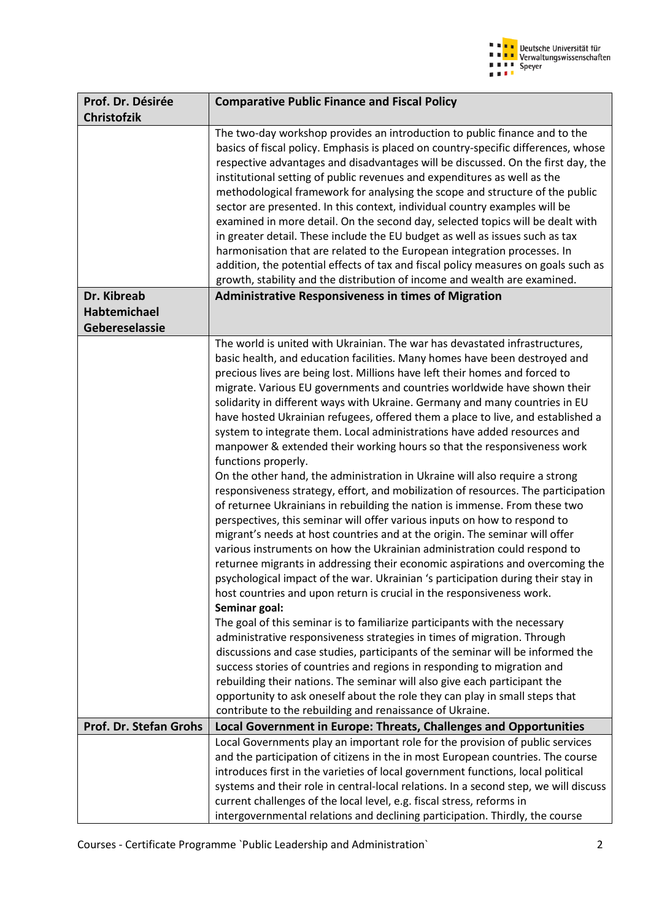

| Prof. Dr. Désirée<br><b>Christofzik</b> | <b>Comparative Public Finance and Fiscal Policy</b>                                                                                                                                                                                                                                                                                                                                                                                                                                                                                                                                                                                                                                                                                                                                                                                                                                                                                                                                                                                                                                                                                                                                                                                                                                                                                                                                                                                                                                                                                                                                                                                                                                                                                                                                                                                                                                                                                                                         |
|-----------------------------------------|-----------------------------------------------------------------------------------------------------------------------------------------------------------------------------------------------------------------------------------------------------------------------------------------------------------------------------------------------------------------------------------------------------------------------------------------------------------------------------------------------------------------------------------------------------------------------------------------------------------------------------------------------------------------------------------------------------------------------------------------------------------------------------------------------------------------------------------------------------------------------------------------------------------------------------------------------------------------------------------------------------------------------------------------------------------------------------------------------------------------------------------------------------------------------------------------------------------------------------------------------------------------------------------------------------------------------------------------------------------------------------------------------------------------------------------------------------------------------------------------------------------------------------------------------------------------------------------------------------------------------------------------------------------------------------------------------------------------------------------------------------------------------------------------------------------------------------------------------------------------------------------------------------------------------------------------------------------------------------|
|                                         | The two-day workshop provides an introduction to public finance and to the<br>basics of fiscal policy. Emphasis is placed on country-specific differences, whose<br>respective advantages and disadvantages will be discussed. On the first day, the<br>institutional setting of public revenues and expenditures as well as the<br>methodological framework for analysing the scope and structure of the public<br>sector are presented. In this context, individual country examples will be<br>examined in more detail. On the second day, selected topics will be dealt with<br>in greater detail. These include the EU budget as well as issues such as tax<br>harmonisation that are related to the European integration processes. In<br>addition, the potential effects of tax and fiscal policy measures on goals such as<br>growth, stability and the distribution of income and wealth are examined.                                                                                                                                                                                                                                                                                                                                                                                                                                                                                                                                                                                                                                                                                                                                                                                                                                                                                                                                                                                                                                                             |
| Dr. Kibreab                             | <b>Administrative Responsiveness in times of Migration</b>                                                                                                                                                                                                                                                                                                                                                                                                                                                                                                                                                                                                                                                                                                                                                                                                                                                                                                                                                                                                                                                                                                                                                                                                                                                                                                                                                                                                                                                                                                                                                                                                                                                                                                                                                                                                                                                                                                                  |
| Habtemichael<br>Gebereselassie          |                                                                                                                                                                                                                                                                                                                                                                                                                                                                                                                                                                                                                                                                                                                                                                                                                                                                                                                                                                                                                                                                                                                                                                                                                                                                                                                                                                                                                                                                                                                                                                                                                                                                                                                                                                                                                                                                                                                                                                             |
|                                         | The world is united with Ukrainian. The war has devastated infrastructures,<br>basic health, and education facilities. Many homes have been destroyed and<br>precious lives are being lost. Millions have left their homes and forced to<br>migrate. Various EU governments and countries worldwide have shown their<br>solidarity in different ways with Ukraine. Germany and many countries in EU<br>have hosted Ukrainian refugees, offered them a place to live, and established a<br>system to integrate them. Local administrations have added resources and<br>manpower & extended their working hours so that the responsiveness work<br>functions properly.<br>On the other hand, the administration in Ukraine will also require a strong<br>responsiveness strategy, effort, and mobilization of resources. The participation<br>of returnee Ukrainians in rebuilding the nation is immense. From these two<br>perspectives, this seminar will offer various inputs on how to respond to<br>migrant's needs at host countries and at the origin. The seminar will offer<br>various instruments on how the Ukrainian administration could respond to<br>returnee migrants in addressing their economic aspirations and overcoming the<br>psychological impact of the war. Ukrainian 's participation during their stay in<br>host countries and upon return is crucial in the responsiveness work.<br>Seminar goal:<br>The goal of this seminar is to familiarize participants with the necessary<br>administrative responsiveness strategies in times of migration. Through<br>discussions and case studies, participants of the seminar will be informed the<br>success stories of countries and regions in responding to migration and<br>rebuilding their nations. The seminar will also give each participant the<br>opportunity to ask oneself about the role they can play in small steps that<br>contribute to the rebuilding and renaissance of Ukraine. |
| Prof. Dr. Stefan Grohs                  | Local Government in Europe: Threats, Challenges and Opportunities                                                                                                                                                                                                                                                                                                                                                                                                                                                                                                                                                                                                                                                                                                                                                                                                                                                                                                                                                                                                                                                                                                                                                                                                                                                                                                                                                                                                                                                                                                                                                                                                                                                                                                                                                                                                                                                                                                           |
|                                         | Local Governments play an important role for the provision of public services<br>and the participation of citizens in the in most European countries. The course<br>introduces first in the varieties of local government functions, local political<br>systems and their role in central-local relations. In a second step, we will discuss<br>current challenges of the local level, e.g. fiscal stress, reforms in<br>intergovernmental relations and declining participation. Thirdly, the course                                                                                                                                                                                                                                                                                                                                                                                                                                                                                                                                                                                                                                                                                                                                                                                                                                                                                                                                                                                                                                                                                                                                                                                                                                                                                                                                                                                                                                                                       |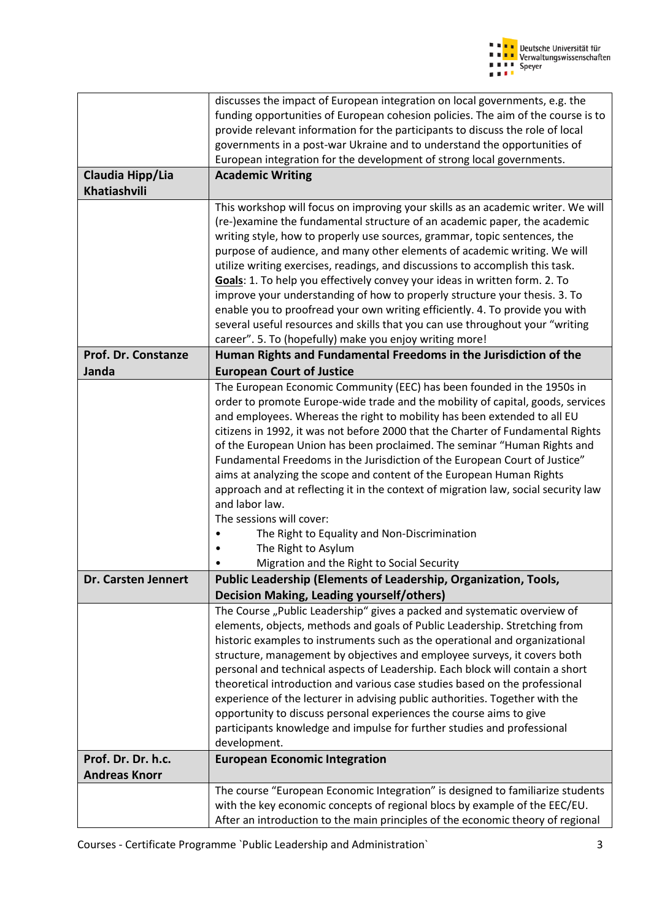| discusses the impact of European integration on local governments, e.g. the<br>funding opportunities of European cohesion policies. The aim of the course is to<br>provide relevant information for the participants to discuss the role of local<br>governments in a post-war Ukraine and to understand the opportunities of<br>European integration for the development of strong local governments.<br>Claudia Hipp/Lia<br><b>Academic Writing</b><br>Khatiashvili<br>This workshop will focus on improving your skills as an academic writer. We will<br>(re-)examine the fundamental structure of an academic paper, the academic<br>writing style, how to properly use sources, grammar, topic sentences, the<br>purpose of audience, and many other elements of academic writing. We will<br>utilize writing exercises, readings, and discussions to accomplish this task.<br>Goals: 1. To help you effectively convey your ideas in written form. 2. To<br>improve your understanding of how to properly structure your thesis. 3. To<br>enable you to proofread your own writing efficiently. 4. To provide you with<br>several useful resources and skills that you can use throughout your "writing<br>career". 5. To (hopefully) make you enjoy writing more!<br>Prof. Dr. Constanze<br>Human Rights and Fundamental Freedoms in the Jurisdiction of the<br><b>Janda</b><br><b>European Court of Justice</b><br>The European Economic Community (EEC) has been founded in the 1950s in<br>order to promote Europe-wide trade and the mobility of capital, goods, services<br>and employees. Whereas the right to mobility has been extended to all EU<br>citizens in 1992, it was not before 2000 that the Charter of Fundamental Rights<br>of the European Union has been proclaimed. The seminar "Human Rights and<br>Fundamental Freedoms in the Jurisdiction of the European Court of Justice"<br>aims at analyzing the scope and content of the European Human Rights<br>approach and at reflecting it in the context of migration law, social security law<br>and labor law.<br>The sessions will cover:<br>The Right to Equality and Non-Discrimination<br>The Right to Asylum<br>Migration and the Right to Social Security<br>Public Leadership (Elements of Leadership, Organization, Tools,<br>Dr. Carsten Jennert<br><b>Decision Making, Leading yourself/others)</b><br>The Course "Public Leadership" gives a packed and systematic overview of<br>elements, objects, methods and goals of Public Leadership. Stretching from<br>historic examples to instruments such as the operational and organizational<br>structure, management by objectives and employee surveys, it covers both<br>personal and technical aspects of Leadership. Each block will contain a short<br>theoretical introduction and various case studies based on the professional<br>experience of the lecturer in advising public authorities. Together with the<br>opportunity to discuss personal experiences the course aims to give<br>participants knowledge and impulse for further studies and professional<br>development.<br>Prof. Dr. Dr. h.c.<br><b>European Economic Integration</b><br><b>Andreas Knorr</b><br>The course "European Economic Integration" is designed to familiarize students<br>with the key economic concepts of regional blocs by example of the EEC/EU. |                                                                                 |
|--------------------------------------------------------------------------------------------------------------------------------------------------------------------------------------------------------------------------------------------------------------------------------------------------------------------------------------------------------------------------------------------------------------------------------------------------------------------------------------------------------------------------------------------------------------------------------------------------------------------------------------------------------------------------------------------------------------------------------------------------------------------------------------------------------------------------------------------------------------------------------------------------------------------------------------------------------------------------------------------------------------------------------------------------------------------------------------------------------------------------------------------------------------------------------------------------------------------------------------------------------------------------------------------------------------------------------------------------------------------------------------------------------------------------------------------------------------------------------------------------------------------------------------------------------------------------------------------------------------------------------------------------------------------------------------------------------------------------------------------------------------------------------------------------------------------------------------------------------------------------------------------------------------------------------------------------------------------------------------------------------------------------------------------------------------------------------------------------------------------------------------------------------------------------------------------------------------------------------------------------------------------------------------------------------------------------------------------------------------------------------------------------------------------------------------------------------------------------------------------------------------------------------------------------------------------------------------------------------------------------------------------------------------------------------------------------------------------------------------------------------------------------------------------------------------------------------------------------------------------------------------------------------------------------------------------------------------------------------------------------------------------------------------------------------------------------------------------------------------------------------------------------------------------------------------------------------------------------------------------------------------------------------------------------------------------------------------------------------------------------------------------|---------------------------------------------------------------------------------|
|                                                                                                                                                                                                                                                                                                                                                                                                                                                                                                                                                                                                                                                                                                                                                                                                                                                                                                                                                                                                                                                                                                                                                                                                                                                                                                                                                                                                                                                                                                                                                                                                                                                                                                                                                                                                                                                                                                                                                                                                                                                                                                                                                                                                                                                                                                                                                                                                                                                                                                                                                                                                                                                                                                                                                                                                                                                                                                                                                                                                                                                                                                                                                                                                                                                                                                                                                                                            |                                                                                 |
|                                                                                                                                                                                                                                                                                                                                                                                                                                                                                                                                                                                                                                                                                                                                                                                                                                                                                                                                                                                                                                                                                                                                                                                                                                                                                                                                                                                                                                                                                                                                                                                                                                                                                                                                                                                                                                                                                                                                                                                                                                                                                                                                                                                                                                                                                                                                                                                                                                                                                                                                                                                                                                                                                                                                                                                                                                                                                                                                                                                                                                                                                                                                                                                                                                                                                                                                                                                            |                                                                                 |
|                                                                                                                                                                                                                                                                                                                                                                                                                                                                                                                                                                                                                                                                                                                                                                                                                                                                                                                                                                                                                                                                                                                                                                                                                                                                                                                                                                                                                                                                                                                                                                                                                                                                                                                                                                                                                                                                                                                                                                                                                                                                                                                                                                                                                                                                                                                                                                                                                                                                                                                                                                                                                                                                                                                                                                                                                                                                                                                                                                                                                                                                                                                                                                                                                                                                                                                                                                                            |                                                                                 |
|                                                                                                                                                                                                                                                                                                                                                                                                                                                                                                                                                                                                                                                                                                                                                                                                                                                                                                                                                                                                                                                                                                                                                                                                                                                                                                                                                                                                                                                                                                                                                                                                                                                                                                                                                                                                                                                                                                                                                                                                                                                                                                                                                                                                                                                                                                                                                                                                                                                                                                                                                                                                                                                                                                                                                                                                                                                                                                                                                                                                                                                                                                                                                                                                                                                                                                                                                                                            |                                                                                 |
|                                                                                                                                                                                                                                                                                                                                                                                                                                                                                                                                                                                                                                                                                                                                                                                                                                                                                                                                                                                                                                                                                                                                                                                                                                                                                                                                                                                                                                                                                                                                                                                                                                                                                                                                                                                                                                                                                                                                                                                                                                                                                                                                                                                                                                                                                                                                                                                                                                                                                                                                                                                                                                                                                                                                                                                                                                                                                                                                                                                                                                                                                                                                                                                                                                                                                                                                                                                            |                                                                                 |
|                                                                                                                                                                                                                                                                                                                                                                                                                                                                                                                                                                                                                                                                                                                                                                                                                                                                                                                                                                                                                                                                                                                                                                                                                                                                                                                                                                                                                                                                                                                                                                                                                                                                                                                                                                                                                                                                                                                                                                                                                                                                                                                                                                                                                                                                                                                                                                                                                                                                                                                                                                                                                                                                                                                                                                                                                                                                                                                                                                                                                                                                                                                                                                                                                                                                                                                                                                                            |                                                                                 |
|                                                                                                                                                                                                                                                                                                                                                                                                                                                                                                                                                                                                                                                                                                                                                                                                                                                                                                                                                                                                                                                                                                                                                                                                                                                                                                                                                                                                                                                                                                                                                                                                                                                                                                                                                                                                                                                                                                                                                                                                                                                                                                                                                                                                                                                                                                                                                                                                                                                                                                                                                                                                                                                                                                                                                                                                                                                                                                                                                                                                                                                                                                                                                                                                                                                                                                                                                                                            |                                                                                 |
|                                                                                                                                                                                                                                                                                                                                                                                                                                                                                                                                                                                                                                                                                                                                                                                                                                                                                                                                                                                                                                                                                                                                                                                                                                                                                                                                                                                                                                                                                                                                                                                                                                                                                                                                                                                                                                                                                                                                                                                                                                                                                                                                                                                                                                                                                                                                                                                                                                                                                                                                                                                                                                                                                                                                                                                                                                                                                                                                                                                                                                                                                                                                                                                                                                                                                                                                                                                            |                                                                                 |
|                                                                                                                                                                                                                                                                                                                                                                                                                                                                                                                                                                                                                                                                                                                                                                                                                                                                                                                                                                                                                                                                                                                                                                                                                                                                                                                                                                                                                                                                                                                                                                                                                                                                                                                                                                                                                                                                                                                                                                                                                                                                                                                                                                                                                                                                                                                                                                                                                                                                                                                                                                                                                                                                                                                                                                                                                                                                                                                                                                                                                                                                                                                                                                                                                                                                                                                                                                                            |                                                                                 |
|                                                                                                                                                                                                                                                                                                                                                                                                                                                                                                                                                                                                                                                                                                                                                                                                                                                                                                                                                                                                                                                                                                                                                                                                                                                                                                                                                                                                                                                                                                                                                                                                                                                                                                                                                                                                                                                                                                                                                                                                                                                                                                                                                                                                                                                                                                                                                                                                                                                                                                                                                                                                                                                                                                                                                                                                                                                                                                                                                                                                                                                                                                                                                                                                                                                                                                                                                                                            |                                                                                 |
|                                                                                                                                                                                                                                                                                                                                                                                                                                                                                                                                                                                                                                                                                                                                                                                                                                                                                                                                                                                                                                                                                                                                                                                                                                                                                                                                                                                                                                                                                                                                                                                                                                                                                                                                                                                                                                                                                                                                                                                                                                                                                                                                                                                                                                                                                                                                                                                                                                                                                                                                                                                                                                                                                                                                                                                                                                                                                                                                                                                                                                                                                                                                                                                                                                                                                                                                                                                            |                                                                                 |
|                                                                                                                                                                                                                                                                                                                                                                                                                                                                                                                                                                                                                                                                                                                                                                                                                                                                                                                                                                                                                                                                                                                                                                                                                                                                                                                                                                                                                                                                                                                                                                                                                                                                                                                                                                                                                                                                                                                                                                                                                                                                                                                                                                                                                                                                                                                                                                                                                                                                                                                                                                                                                                                                                                                                                                                                                                                                                                                                                                                                                                                                                                                                                                                                                                                                                                                                                                                            |                                                                                 |
|                                                                                                                                                                                                                                                                                                                                                                                                                                                                                                                                                                                                                                                                                                                                                                                                                                                                                                                                                                                                                                                                                                                                                                                                                                                                                                                                                                                                                                                                                                                                                                                                                                                                                                                                                                                                                                                                                                                                                                                                                                                                                                                                                                                                                                                                                                                                                                                                                                                                                                                                                                                                                                                                                                                                                                                                                                                                                                                                                                                                                                                                                                                                                                                                                                                                                                                                                                                            |                                                                                 |
|                                                                                                                                                                                                                                                                                                                                                                                                                                                                                                                                                                                                                                                                                                                                                                                                                                                                                                                                                                                                                                                                                                                                                                                                                                                                                                                                                                                                                                                                                                                                                                                                                                                                                                                                                                                                                                                                                                                                                                                                                                                                                                                                                                                                                                                                                                                                                                                                                                                                                                                                                                                                                                                                                                                                                                                                                                                                                                                                                                                                                                                                                                                                                                                                                                                                                                                                                                                            |                                                                                 |
|                                                                                                                                                                                                                                                                                                                                                                                                                                                                                                                                                                                                                                                                                                                                                                                                                                                                                                                                                                                                                                                                                                                                                                                                                                                                                                                                                                                                                                                                                                                                                                                                                                                                                                                                                                                                                                                                                                                                                                                                                                                                                                                                                                                                                                                                                                                                                                                                                                                                                                                                                                                                                                                                                                                                                                                                                                                                                                                                                                                                                                                                                                                                                                                                                                                                                                                                                                                            |                                                                                 |
|                                                                                                                                                                                                                                                                                                                                                                                                                                                                                                                                                                                                                                                                                                                                                                                                                                                                                                                                                                                                                                                                                                                                                                                                                                                                                                                                                                                                                                                                                                                                                                                                                                                                                                                                                                                                                                                                                                                                                                                                                                                                                                                                                                                                                                                                                                                                                                                                                                                                                                                                                                                                                                                                                                                                                                                                                                                                                                                                                                                                                                                                                                                                                                                                                                                                                                                                                                                            |                                                                                 |
|                                                                                                                                                                                                                                                                                                                                                                                                                                                                                                                                                                                                                                                                                                                                                                                                                                                                                                                                                                                                                                                                                                                                                                                                                                                                                                                                                                                                                                                                                                                                                                                                                                                                                                                                                                                                                                                                                                                                                                                                                                                                                                                                                                                                                                                                                                                                                                                                                                                                                                                                                                                                                                                                                                                                                                                                                                                                                                                                                                                                                                                                                                                                                                                                                                                                                                                                                                                            |                                                                                 |
|                                                                                                                                                                                                                                                                                                                                                                                                                                                                                                                                                                                                                                                                                                                                                                                                                                                                                                                                                                                                                                                                                                                                                                                                                                                                                                                                                                                                                                                                                                                                                                                                                                                                                                                                                                                                                                                                                                                                                                                                                                                                                                                                                                                                                                                                                                                                                                                                                                                                                                                                                                                                                                                                                                                                                                                                                                                                                                                                                                                                                                                                                                                                                                                                                                                                                                                                                                                            |                                                                                 |
|                                                                                                                                                                                                                                                                                                                                                                                                                                                                                                                                                                                                                                                                                                                                                                                                                                                                                                                                                                                                                                                                                                                                                                                                                                                                                                                                                                                                                                                                                                                                                                                                                                                                                                                                                                                                                                                                                                                                                                                                                                                                                                                                                                                                                                                                                                                                                                                                                                                                                                                                                                                                                                                                                                                                                                                                                                                                                                                                                                                                                                                                                                                                                                                                                                                                                                                                                                                            |                                                                                 |
|                                                                                                                                                                                                                                                                                                                                                                                                                                                                                                                                                                                                                                                                                                                                                                                                                                                                                                                                                                                                                                                                                                                                                                                                                                                                                                                                                                                                                                                                                                                                                                                                                                                                                                                                                                                                                                                                                                                                                                                                                                                                                                                                                                                                                                                                                                                                                                                                                                                                                                                                                                                                                                                                                                                                                                                                                                                                                                                                                                                                                                                                                                                                                                                                                                                                                                                                                                                            |                                                                                 |
|                                                                                                                                                                                                                                                                                                                                                                                                                                                                                                                                                                                                                                                                                                                                                                                                                                                                                                                                                                                                                                                                                                                                                                                                                                                                                                                                                                                                                                                                                                                                                                                                                                                                                                                                                                                                                                                                                                                                                                                                                                                                                                                                                                                                                                                                                                                                                                                                                                                                                                                                                                                                                                                                                                                                                                                                                                                                                                                                                                                                                                                                                                                                                                                                                                                                                                                                                                                            |                                                                                 |
|                                                                                                                                                                                                                                                                                                                                                                                                                                                                                                                                                                                                                                                                                                                                                                                                                                                                                                                                                                                                                                                                                                                                                                                                                                                                                                                                                                                                                                                                                                                                                                                                                                                                                                                                                                                                                                                                                                                                                                                                                                                                                                                                                                                                                                                                                                                                                                                                                                                                                                                                                                                                                                                                                                                                                                                                                                                                                                                                                                                                                                                                                                                                                                                                                                                                                                                                                                                            |                                                                                 |
|                                                                                                                                                                                                                                                                                                                                                                                                                                                                                                                                                                                                                                                                                                                                                                                                                                                                                                                                                                                                                                                                                                                                                                                                                                                                                                                                                                                                                                                                                                                                                                                                                                                                                                                                                                                                                                                                                                                                                                                                                                                                                                                                                                                                                                                                                                                                                                                                                                                                                                                                                                                                                                                                                                                                                                                                                                                                                                                                                                                                                                                                                                                                                                                                                                                                                                                                                                                            |                                                                                 |
|                                                                                                                                                                                                                                                                                                                                                                                                                                                                                                                                                                                                                                                                                                                                                                                                                                                                                                                                                                                                                                                                                                                                                                                                                                                                                                                                                                                                                                                                                                                                                                                                                                                                                                                                                                                                                                                                                                                                                                                                                                                                                                                                                                                                                                                                                                                                                                                                                                                                                                                                                                                                                                                                                                                                                                                                                                                                                                                                                                                                                                                                                                                                                                                                                                                                                                                                                                                            |                                                                                 |
|                                                                                                                                                                                                                                                                                                                                                                                                                                                                                                                                                                                                                                                                                                                                                                                                                                                                                                                                                                                                                                                                                                                                                                                                                                                                                                                                                                                                                                                                                                                                                                                                                                                                                                                                                                                                                                                                                                                                                                                                                                                                                                                                                                                                                                                                                                                                                                                                                                                                                                                                                                                                                                                                                                                                                                                                                                                                                                                                                                                                                                                                                                                                                                                                                                                                                                                                                                                            |                                                                                 |
|                                                                                                                                                                                                                                                                                                                                                                                                                                                                                                                                                                                                                                                                                                                                                                                                                                                                                                                                                                                                                                                                                                                                                                                                                                                                                                                                                                                                                                                                                                                                                                                                                                                                                                                                                                                                                                                                                                                                                                                                                                                                                                                                                                                                                                                                                                                                                                                                                                                                                                                                                                                                                                                                                                                                                                                                                                                                                                                                                                                                                                                                                                                                                                                                                                                                                                                                                                                            |                                                                                 |
|                                                                                                                                                                                                                                                                                                                                                                                                                                                                                                                                                                                                                                                                                                                                                                                                                                                                                                                                                                                                                                                                                                                                                                                                                                                                                                                                                                                                                                                                                                                                                                                                                                                                                                                                                                                                                                                                                                                                                                                                                                                                                                                                                                                                                                                                                                                                                                                                                                                                                                                                                                                                                                                                                                                                                                                                                                                                                                                                                                                                                                                                                                                                                                                                                                                                                                                                                                                            |                                                                                 |
|                                                                                                                                                                                                                                                                                                                                                                                                                                                                                                                                                                                                                                                                                                                                                                                                                                                                                                                                                                                                                                                                                                                                                                                                                                                                                                                                                                                                                                                                                                                                                                                                                                                                                                                                                                                                                                                                                                                                                                                                                                                                                                                                                                                                                                                                                                                                                                                                                                                                                                                                                                                                                                                                                                                                                                                                                                                                                                                                                                                                                                                                                                                                                                                                                                                                                                                                                                                            |                                                                                 |
|                                                                                                                                                                                                                                                                                                                                                                                                                                                                                                                                                                                                                                                                                                                                                                                                                                                                                                                                                                                                                                                                                                                                                                                                                                                                                                                                                                                                                                                                                                                                                                                                                                                                                                                                                                                                                                                                                                                                                                                                                                                                                                                                                                                                                                                                                                                                                                                                                                                                                                                                                                                                                                                                                                                                                                                                                                                                                                                                                                                                                                                                                                                                                                                                                                                                                                                                                                                            |                                                                                 |
|                                                                                                                                                                                                                                                                                                                                                                                                                                                                                                                                                                                                                                                                                                                                                                                                                                                                                                                                                                                                                                                                                                                                                                                                                                                                                                                                                                                                                                                                                                                                                                                                                                                                                                                                                                                                                                                                                                                                                                                                                                                                                                                                                                                                                                                                                                                                                                                                                                                                                                                                                                                                                                                                                                                                                                                                                                                                                                                                                                                                                                                                                                                                                                                                                                                                                                                                                                                            |                                                                                 |
|                                                                                                                                                                                                                                                                                                                                                                                                                                                                                                                                                                                                                                                                                                                                                                                                                                                                                                                                                                                                                                                                                                                                                                                                                                                                                                                                                                                                                                                                                                                                                                                                                                                                                                                                                                                                                                                                                                                                                                                                                                                                                                                                                                                                                                                                                                                                                                                                                                                                                                                                                                                                                                                                                                                                                                                                                                                                                                                                                                                                                                                                                                                                                                                                                                                                                                                                                                                            |                                                                                 |
|                                                                                                                                                                                                                                                                                                                                                                                                                                                                                                                                                                                                                                                                                                                                                                                                                                                                                                                                                                                                                                                                                                                                                                                                                                                                                                                                                                                                                                                                                                                                                                                                                                                                                                                                                                                                                                                                                                                                                                                                                                                                                                                                                                                                                                                                                                                                                                                                                                                                                                                                                                                                                                                                                                                                                                                                                                                                                                                                                                                                                                                                                                                                                                                                                                                                                                                                                                                            |                                                                                 |
|                                                                                                                                                                                                                                                                                                                                                                                                                                                                                                                                                                                                                                                                                                                                                                                                                                                                                                                                                                                                                                                                                                                                                                                                                                                                                                                                                                                                                                                                                                                                                                                                                                                                                                                                                                                                                                                                                                                                                                                                                                                                                                                                                                                                                                                                                                                                                                                                                                                                                                                                                                                                                                                                                                                                                                                                                                                                                                                                                                                                                                                                                                                                                                                                                                                                                                                                                                                            |                                                                                 |
|                                                                                                                                                                                                                                                                                                                                                                                                                                                                                                                                                                                                                                                                                                                                                                                                                                                                                                                                                                                                                                                                                                                                                                                                                                                                                                                                                                                                                                                                                                                                                                                                                                                                                                                                                                                                                                                                                                                                                                                                                                                                                                                                                                                                                                                                                                                                                                                                                                                                                                                                                                                                                                                                                                                                                                                                                                                                                                                                                                                                                                                                                                                                                                                                                                                                                                                                                                                            |                                                                                 |
|                                                                                                                                                                                                                                                                                                                                                                                                                                                                                                                                                                                                                                                                                                                                                                                                                                                                                                                                                                                                                                                                                                                                                                                                                                                                                                                                                                                                                                                                                                                                                                                                                                                                                                                                                                                                                                                                                                                                                                                                                                                                                                                                                                                                                                                                                                                                                                                                                                                                                                                                                                                                                                                                                                                                                                                                                                                                                                                                                                                                                                                                                                                                                                                                                                                                                                                                                                                            |                                                                                 |
|                                                                                                                                                                                                                                                                                                                                                                                                                                                                                                                                                                                                                                                                                                                                                                                                                                                                                                                                                                                                                                                                                                                                                                                                                                                                                                                                                                                                                                                                                                                                                                                                                                                                                                                                                                                                                                                                                                                                                                                                                                                                                                                                                                                                                                                                                                                                                                                                                                                                                                                                                                                                                                                                                                                                                                                                                                                                                                                                                                                                                                                                                                                                                                                                                                                                                                                                                                                            |                                                                                 |
|                                                                                                                                                                                                                                                                                                                                                                                                                                                                                                                                                                                                                                                                                                                                                                                                                                                                                                                                                                                                                                                                                                                                                                                                                                                                                                                                                                                                                                                                                                                                                                                                                                                                                                                                                                                                                                                                                                                                                                                                                                                                                                                                                                                                                                                                                                                                                                                                                                                                                                                                                                                                                                                                                                                                                                                                                                                                                                                                                                                                                                                                                                                                                                                                                                                                                                                                                                                            |                                                                                 |
|                                                                                                                                                                                                                                                                                                                                                                                                                                                                                                                                                                                                                                                                                                                                                                                                                                                                                                                                                                                                                                                                                                                                                                                                                                                                                                                                                                                                                                                                                                                                                                                                                                                                                                                                                                                                                                                                                                                                                                                                                                                                                                                                                                                                                                                                                                                                                                                                                                                                                                                                                                                                                                                                                                                                                                                                                                                                                                                                                                                                                                                                                                                                                                                                                                                                                                                                                                                            |                                                                                 |
|                                                                                                                                                                                                                                                                                                                                                                                                                                                                                                                                                                                                                                                                                                                                                                                                                                                                                                                                                                                                                                                                                                                                                                                                                                                                                                                                                                                                                                                                                                                                                                                                                                                                                                                                                                                                                                                                                                                                                                                                                                                                                                                                                                                                                                                                                                                                                                                                                                                                                                                                                                                                                                                                                                                                                                                                                                                                                                                                                                                                                                                                                                                                                                                                                                                                                                                                                                                            |                                                                                 |
|                                                                                                                                                                                                                                                                                                                                                                                                                                                                                                                                                                                                                                                                                                                                                                                                                                                                                                                                                                                                                                                                                                                                                                                                                                                                                                                                                                                                                                                                                                                                                                                                                                                                                                                                                                                                                                                                                                                                                                                                                                                                                                                                                                                                                                                                                                                                                                                                                                                                                                                                                                                                                                                                                                                                                                                                                                                                                                                                                                                                                                                                                                                                                                                                                                                                                                                                                                                            |                                                                                 |
|                                                                                                                                                                                                                                                                                                                                                                                                                                                                                                                                                                                                                                                                                                                                                                                                                                                                                                                                                                                                                                                                                                                                                                                                                                                                                                                                                                                                                                                                                                                                                                                                                                                                                                                                                                                                                                                                                                                                                                                                                                                                                                                                                                                                                                                                                                                                                                                                                                                                                                                                                                                                                                                                                                                                                                                                                                                                                                                                                                                                                                                                                                                                                                                                                                                                                                                                                                                            |                                                                                 |
|                                                                                                                                                                                                                                                                                                                                                                                                                                                                                                                                                                                                                                                                                                                                                                                                                                                                                                                                                                                                                                                                                                                                                                                                                                                                                                                                                                                                                                                                                                                                                                                                                                                                                                                                                                                                                                                                                                                                                                                                                                                                                                                                                                                                                                                                                                                                                                                                                                                                                                                                                                                                                                                                                                                                                                                                                                                                                                                                                                                                                                                                                                                                                                                                                                                                                                                                                                                            |                                                                                 |
|                                                                                                                                                                                                                                                                                                                                                                                                                                                                                                                                                                                                                                                                                                                                                                                                                                                                                                                                                                                                                                                                                                                                                                                                                                                                                                                                                                                                                                                                                                                                                                                                                                                                                                                                                                                                                                                                                                                                                                                                                                                                                                                                                                                                                                                                                                                                                                                                                                                                                                                                                                                                                                                                                                                                                                                                                                                                                                                                                                                                                                                                                                                                                                                                                                                                                                                                                                                            |                                                                                 |
|                                                                                                                                                                                                                                                                                                                                                                                                                                                                                                                                                                                                                                                                                                                                                                                                                                                                                                                                                                                                                                                                                                                                                                                                                                                                                                                                                                                                                                                                                                                                                                                                                                                                                                                                                                                                                                                                                                                                                                                                                                                                                                                                                                                                                                                                                                                                                                                                                                                                                                                                                                                                                                                                                                                                                                                                                                                                                                                                                                                                                                                                                                                                                                                                                                                                                                                                                                                            |                                                                                 |
|                                                                                                                                                                                                                                                                                                                                                                                                                                                                                                                                                                                                                                                                                                                                                                                                                                                                                                                                                                                                                                                                                                                                                                                                                                                                                                                                                                                                                                                                                                                                                                                                                                                                                                                                                                                                                                                                                                                                                                                                                                                                                                                                                                                                                                                                                                                                                                                                                                                                                                                                                                                                                                                                                                                                                                                                                                                                                                                                                                                                                                                                                                                                                                                                                                                                                                                                                                                            |                                                                                 |
|                                                                                                                                                                                                                                                                                                                                                                                                                                                                                                                                                                                                                                                                                                                                                                                                                                                                                                                                                                                                                                                                                                                                                                                                                                                                                                                                                                                                                                                                                                                                                                                                                                                                                                                                                                                                                                                                                                                                                                                                                                                                                                                                                                                                                                                                                                                                                                                                                                                                                                                                                                                                                                                                                                                                                                                                                                                                                                                                                                                                                                                                                                                                                                                                                                                                                                                                                                                            |                                                                                 |
|                                                                                                                                                                                                                                                                                                                                                                                                                                                                                                                                                                                                                                                                                                                                                                                                                                                                                                                                                                                                                                                                                                                                                                                                                                                                                                                                                                                                                                                                                                                                                                                                                                                                                                                                                                                                                                                                                                                                                                                                                                                                                                                                                                                                                                                                                                                                                                                                                                                                                                                                                                                                                                                                                                                                                                                                                                                                                                                                                                                                                                                                                                                                                                                                                                                                                                                                                                                            |                                                                                 |
|                                                                                                                                                                                                                                                                                                                                                                                                                                                                                                                                                                                                                                                                                                                                                                                                                                                                                                                                                                                                                                                                                                                                                                                                                                                                                                                                                                                                                                                                                                                                                                                                                                                                                                                                                                                                                                                                                                                                                                                                                                                                                                                                                                                                                                                                                                                                                                                                                                                                                                                                                                                                                                                                                                                                                                                                                                                                                                                                                                                                                                                                                                                                                                                                                                                                                                                                                                                            |                                                                                 |
|                                                                                                                                                                                                                                                                                                                                                                                                                                                                                                                                                                                                                                                                                                                                                                                                                                                                                                                                                                                                                                                                                                                                                                                                                                                                                                                                                                                                                                                                                                                                                                                                                                                                                                                                                                                                                                                                                                                                                                                                                                                                                                                                                                                                                                                                                                                                                                                                                                                                                                                                                                                                                                                                                                                                                                                                                                                                                                                                                                                                                                                                                                                                                                                                                                                                                                                                                                                            |                                                                                 |
|                                                                                                                                                                                                                                                                                                                                                                                                                                                                                                                                                                                                                                                                                                                                                                                                                                                                                                                                                                                                                                                                                                                                                                                                                                                                                                                                                                                                                                                                                                                                                                                                                                                                                                                                                                                                                                                                                                                                                                                                                                                                                                                                                                                                                                                                                                                                                                                                                                                                                                                                                                                                                                                                                                                                                                                                                                                                                                                                                                                                                                                                                                                                                                                                                                                                                                                                                                                            | After an introduction to the main principles of the economic theory of regional |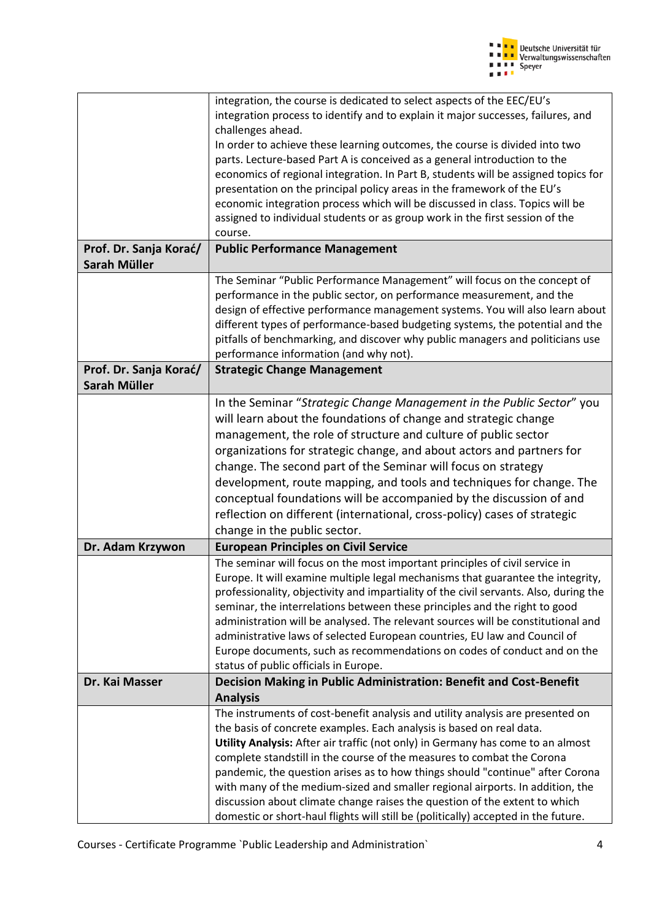

|                        | integration, the course is dedicated to select aspects of the EEC/EU's                |
|------------------------|---------------------------------------------------------------------------------------|
|                        | integration process to identify and to explain it major successes, failures, and      |
|                        | challenges ahead.                                                                     |
|                        | In order to achieve these learning outcomes, the course is divided into two           |
|                        | parts. Lecture-based Part A is conceived as a general introduction to the             |
|                        | economics of regional integration. In Part B, students will be assigned topics for    |
|                        | presentation on the principal policy areas in the framework of the EU's               |
|                        | economic integration process which will be discussed in class. Topics will be         |
|                        | assigned to individual students or as group work in the first session of the          |
|                        | course.                                                                               |
| Prof. Dr. Sanja Korać/ | <b>Public Performance Management</b>                                                  |
|                        |                                                                                       |
| Sarah Müller           |                                                                                       |
|                        | The Seminar "Public Performance Management" will focus on the concept of              |
|                        | performance in the public sector, on performance measurement, and the                 |
|                        | design of effective performance management systems. You will also learn about         |
|                        | different types of performance-based budgeting systems, the potential and the         |
|                        | pitfalls of benchmarking, and discover why public managers and politicians use        |
|                        | performance information (and why not).                                                |
| Prof. Dr. Sanja Korać/ | <b>Strategic Change Management</b>                                                    |
| Sarah Müller           |                                                                                       |
|                        | In the Seminar "Strategic Change Management in the Public Sector" you                 |
|                        |                                                                                       |
|                        | will learn about the foundations of change and strategic change                       |
|                        | management, the role of structure and culture of public sector                        |
|                        | organizations for strategic change, and about actors and partners for                 |
|                        | change. The second part of the Seminar will focus on strategy                         |
|                        | development, route mapping, and tools and techniques for change. The                  |
|                        |                                                                                       |
|                        | conceptual foundations will be accompanied by the discussion of and                   |
|                        | reflection on different (international, cross-policy) cases of strategic              |
|                        | change in the public sector.                                                          |
| Dr. Adam Krzywon       | <b>European Principles on Civil Service</b>                                           |
|                        | The seminar will focus on the most important principles of civil service in           |
|                        | Europe. It will examine multiple legal mechanisms that guarantee the integrity,       |
|                        | professionality, objectivity and impartiality of the civil servants. Also, during the |
|                        | seminar, the interrelations between these principles and the right to good            |
|                        | administration will be analysed. The relevant sources will be constitutional and      |
|                        | administrative laws of selected European countries, EU law and Council of             |
|                        | Europe documents, such as recommendations on codes of conduct and on the              |
|                        | status of public officials in Europe.                                                 |
|                        |                                                                                       |
| Dr. Kai Masser         | Decision Making in Public Administration: Benefit and Cost-Benefit                    |
|                        | <b>Analysis</b>                                                                       |
|                        | The instruments of cost-benefit analysis and utility analysis are presented on        |
|                        | the basis of concrete examples. Each analysis is based on real data.                  |
|                        | Utility Analysis: After air traffic (not only) in Germany has come to an almost       |
|                        | complete standstill in the course of the measures to combat the Corona                |
|                        | pandemic, the question arises as to how things should "continue" after Corona         |
|                        | with many of the medium-sized and smaller regional airports. In addition, the         |
|                        | discussion about climate change raises the question of the extent to which            |
|                        | domestic or short-haul flights will still be (politically) accepted in the future.    |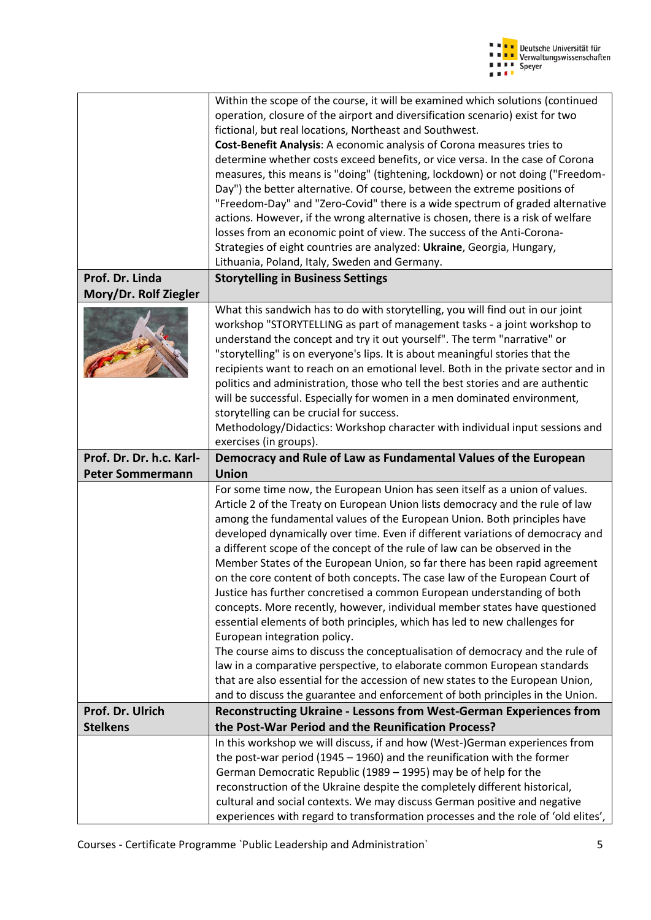

|                          | Within the scope of the course, it will be examined which solutions (continued                                                                            |
|--------------------------|-----------------------------------------------------------------------------------------------------------------------------------------------------------|
|                          | operation, closure of the airport and diversification scenario) exist for two                                                                             |
|                          | fictional, but real locations, Northeast and Southwest.                                                                                                   |
|                          | Cost-Benefit Analysis: A economic analysis of Corona measures tries to                                                                                    |
|                          | determine whether costs exceed benefits, or vice versa. In the case of Corona                                                                             |
|                          | measures, this means is "doing" (tightening, lockdown) or not doing ("Freedom-                                                                            |
|                          | Day") the better alternative. Of course, between the extreme positions of                                                                                 |
|                          | "Freedom-Day" and "Zero-Covid" there is a wide spectrum of graded alternative                                                                             |
|                          | actions. However, if the wrong alternative is chosen, there is a risk of welfare                                                                          |
|                          | losses from an economic point of view. The success of the Anti-Corona-                                                                                    |
|                          | Strategies of eight countries are analyzed: Ukraine, Georgia, Hungary,                                                                                    |
|                          | Lithuania, Poland, Italy, Sweden and Germany.                                                                                                             |
| Prof. Dr. Linda          | <b>Storytelling in Business Settings</b>                                                                                                                  |
| Mory/Dr. Rolf Ziegler    |                                                                                                                                                           |
|                          | What this sandwich has to do with storytelling, you will find out in our joint                                                                            |
|                          | workshop "STORYTELLING as part of management tasks - a joint workshop to                                                                                  |
|                          | understand the concept and try it out yourself". The term "narrative" or                                                                                  |
|                          | "storytelling" is on everyone's lips. It is about meaningful stories that the                                                                             |
|                          | recipients want to reach on an emotional level. Both in the private sector and in                                                                         |
|                          | politics and administration, those who tell the best stories and are authentic                                                                            |
|                          | will be successful. Especially for women in a men dominated environment,                                                                                  |
|                          | storytelling can be crucial for success.                                                                                                                  |
|                          | Methodology/Didactics: Workshop character with individual input sessions and                                                                              |
| Prof. Dr. Dr. h.c. Karl- | exercises (in groups).<br>Democracy and Rule of Law as Fundamental Values of the European                                                                 |
|                          |                                                                                                                                                           |
|                          |                                                                                                                                                           |
| <b>Peter Sommermann</b>  | <b>Union</b>                                                                                                                                              |
|                          | For some time now, the European Union has seen itself as a union of values.                                                                               |
|                          | Article 2 of the Treaty on European Union lists democracy and the rule of law                                                                             |
|                          | among the fundamental values of the European Union. Both principles have                                                                                  |
|                          | developed dynamically over time. Even if different variations of democracy and                                                                            |
|                          | a different scope of the concept of the rule of law can be observed in the                                                                                |
|                          | Member States of the European Union, so far there has been rapid agreement                                                                                |
|                          | on the core content of both concepts. The case law of the European Court of                                                                               |
|                          | Justice has further concretised a common European understanding of both                                                                                   |
|                          | concepts. More recently, however, individual member states have questioned                                                                                |
|                          | essential elements of both principles, which has led to new challenges for                                                                                |
|                          | European integration policy.                                                                                                                              |
|                          | The course aims to discuss the conceptualisation of democracy and the rule of<br>law in a comparative perspective, to elaborate common European standards |
|                          | that are also essential for the accession of new states to the European Union,                                                                            |
|                          | and to discuss the guarantee and enforcement of both principles in the Union.                                                                             |
| Prof. Dr. Ulrich         | <b>Reconstructing Ukraine - Lessons from West-German Experiences from</b>                                                                                 |
| <b>Stelkens</b>          | the Post-War Period and the Reunification Process?                                                                                                        |
|                          | In this workshop we will discuss, if and how (West-)German experiences from                                                                               |
|                          | the post-war period (1945 $-$ 1960) and the reunification with the former                                                                                 |
|                          | German Democratic Republic (1989 - 1995) may be of help for the                                                                                           |
|                          | reconstruction of the Ukraine despite the completely different historical,                                                                                |
|                          | cultural and social contexts. We may discuss German positive and negative                                                                                 |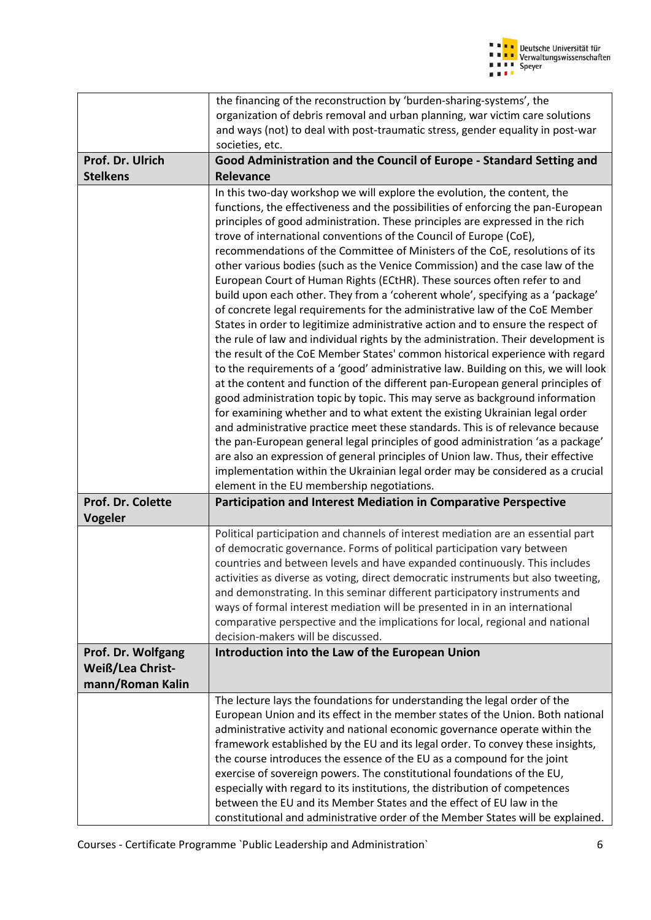

|                                                                   | the financing of the reconstruction by 'burden-sharing-systems', the                                                                                                                                                                                                                                                                                                                                                                                                                                                                                                                                                                                                                                                                                                                                                                                                                                                                                                                                                                                                                                                                                                                                                                                                                                                                                                                                                                                                                                                                                                                                                                                                                                                        |
|-------------------------------------------------------------------|-----------------------------------------------------------------------------------------------------------------------------------------------------------------------------------------------------------------------------------------------------------------------------------------------------------------------------------------------------------------------------------------------------------------------------------------------------------------------------------------------------------------------------------------------------------------------------------------------------------------------------------------------------------------------------------------------------------------------------------------------------------------------------------------------------------------------------------------------------------------------------------------------------------------------------------------------------------------------------------------------------------------------------------------------------------------------------------------------------------------------------------------------------------------------------------------------------------------------------------------------------------------------------------------------------------------------------------------------------------------------------------------------------------------------------------------------------------------------------------------------------------------------------------------------------------------------------------------------------------------------------------------------------------------------------------------------------------------------------|
|                                                                   | organization of debris removal and urban planning, war victim care solutions                                                                                                                                                                                                                                                                                                                                                                                                                                                                                                                                                                                                                                                                                                                                                                                                                                                                                                                                                                                                                                                                                                                                                                                                                                                                                                                                                                                                                                                                                                                                                                                                                                                |
|                                                                   | and ways (not) to deal with post-traumatic stress, gender equality in post-war                                                                                                                                                                                                                                                                                                                                                                                                                                                                                                                                                                                                                                                                                                                                                                                                                                                                                                                                                                                                                                                                                                                                                                                                                                                                                                                                                                                                                                                                                                                                                                                                                                              |
|                                                                   | societies, etc.                                                                                                                                                                                                                                                                                                                                                                                                                                                                                                                                                                                                                                                                                                                                                                                                                                                                                                                                                                                                                                                                                                                                                                                                                                                                                                                                                                                                                                                                                                                                                                                                                                                                                                             |
| Prof. Dr. Ulrich                                                  | Good Administration and the Council of Europe - Standard Setting and                                                                                                                                                                                                                                                                                                                                                                                                                                                                                                                                                                                                                                                                                                                                                                                                                                                                                                                                                                                                                                                                                                                                                                                                                                                                                                                                                                                                                                                                                                                                                                                                                                                        |
| <b>Stelkens</b>                                                   | <b>Relevance</b>                                                                                                                                                                                                                                                                                                                                                                                                                                                                                                                                                                                                                                                                                                                                                                                                                                                                                                                                                                                                                                                                                                                                                                                                                                                                                                                                                                                                                                                                                                                                                                                                                                                                                                            |
|                                                                   | In this two-day workshop we will explore the evolution, the content, the<br>functions, the effectiveness and the possibilities of enforcing the pan-European<br>principles of good administration. These principles are expressed in the rich<br>trove of international conventions of the Council of Europe (CoE),<br>recommendations of the Committee of Ministers of the CoE, resolutions of its<br>other various bodies (such as the Venice Commission) and the case law of the<br>European Court of Human Rights (ECtHR). These sources often refer to and<br>build upon each other. They from a 'coherent whole', specifying as a 'package'<br>of concrete legal requirements for the administrative law of the CoE Member<br>States in order to legitimize administrative action and to ensure the respect of<br>the rule of law and individual rights by the administration. Their development is<br>the result of the CoE Member States' common historical experience with regard<br>to the requirements of a 'good' administrative law. Building on this, we will look<br>at the content and function of the different pan-European general principles of<br>good administration topic by topic. This may serve as background information<br>for examining whether and to what extent the existing Ukrainian legal order<br>and administrative practice meet these standards. This is of relevance because<br>the pan-European general legal principles of good administration 'as a package'<br>are also an expression of general principles of Union law. Thus, their effective<br>implementation within the Ukrainian legal order may be considered as a crucial<br>element in the EU membership negotiations. |
| Prof. Dr. Colette                                                 | <b>Participation and Interest Mediation in Comparative Perspective</b>                                                                                                                                                                                                                                                                                                                                                                                                                                                                                                                                                                                                                                                                                                                                                                                                                                                                                                                                                                                                                                                                                                                                                                                                                                                                                                                                                                                                                                                                                                                                                                                                                                                      |
| Vogeler                                                           |                                                                                                                                                                                                                                                                                                                                                                                                                                                                                                                                                                                                                                                                                                                                                                                                                                                                                                                                                                                                                                                                                                                                                                                                                                                                                                                                                                                                                                                                                                                                                                                                                                                                                                                             |
|                                                                   | Political participation and channels of interest mediation are an essential part<br>of democratic governance. Forms of political participation vary between<br>countries and between levels and have expanded continuously. This includes<br>activities as diverse as voting, direct democratic instruments but also tweeting,<br>and demonstrating. In this seminar different participatory instruments and<br>ways of formal interest mediation will be presented in in an international<br>comparative perspective and the implications for local, regional and national<br>decision-makers will be discussed.                                                                                                                                                                                                                                                                                                                                                                                                                                                                                                                                                                                                                                                                                                                                                                                                                                                                                                                                                                                                                                                                                                           |
| Prof. Dr. Wolfgang<br><b>Weiß/Lea Christ-</b><br>mann/Roman Kalin | Introduction into the Law of the European Union                                                                                                                                                                                                                                                                                                                                                                                                                                                                                                                                                                                                                                                                                                                                                                                                                                                                                                                                                                                                                                                                                                                                                                                                                                                                                                                                                                                                                                                                                                                                                                                                                                                                             |
|                                                                   | The lecture lays the foundations for understanding the legal order of the<br>European Union and its effect in the member states of the Union. Both national<br>administrative activity and national economic governance operate within the<br>framework established by the EU and its legal order. To convey these insights,<br>the course introduces the essence of the EU as a compound for the joint<br>exercise of sovereign powers. The constitutional foundations of the EU,<br>especially with regard to its institutions, the distribution of competences<br>between the EU and its Member States and the effect of EU law in the<br>constitutional and administrative order of the Member States will be explained.                                                                                                                                                                                                                                                                                                                                                                                                                                                                                                                                                                                                                                                                                                                                                                                                                                                                                                                                                                                                |